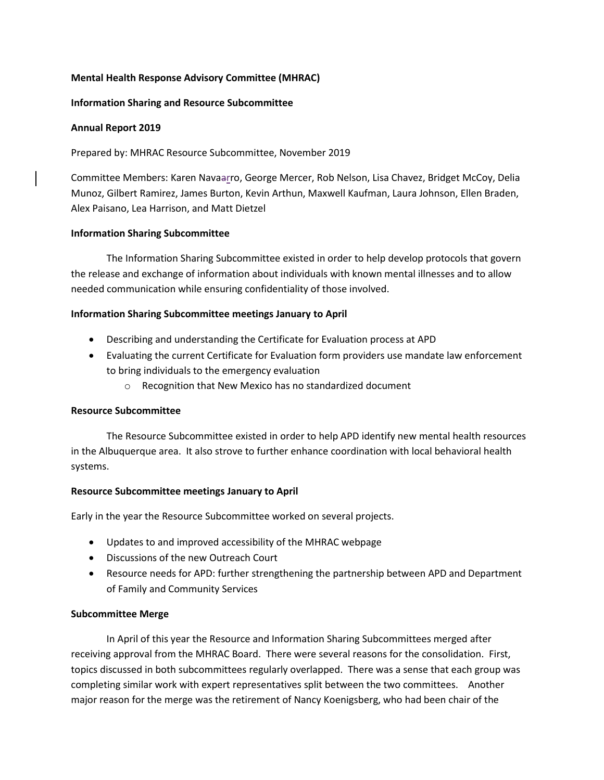# **Mental Health Response Advisory Committee (MHRAC)**

## **Information Sharing and Resource Subcommittee**

## **Annual Report 2019**

Prepared by: MHRAC Resource Subcommittee, November 2019

Committee Members: Karen Navaarro, George Mercer, Rob Nelson, Lisa Chavez, Bridget McCoy, Delia Munoz, Gilbert Ramirez, James Burton, Kevin Arthun, Maxwell Kaufman, Laura Johnson, Ellen Braden, Alex Paisano, Lea Harrison, and Matt Dietzel

## **Information Sharing Subcommittee**

The Information Sharing Subcommittee existed in order to help develop protocols that govern the release and exchange of information about individuals with known mental illnesses and to allow needed communication while ensuring confidentiality of those involved.

## **Information Sharing Subcommittee meetings January to April**

- Describing and understanding the Certificate for Evaluation process at APD
- Evaluating the current Certificate for Evaluation form providers use mandate law enforcement to bring individuals to the emergency evaluation
	- o Recognition that New Mexico has no standardized document

#### **Resource Subcommittee**

The Resource Subcommittee existed in order to help APD identify new mental health resources in the Albuquerque area. It also strove to further enhance coordination with local behavioral health systems.

#### **Resource Subcommittee meetings January to April**

Early in the year the Resource Subcommittee worked on several projects.

- Updates to and improved accessibility of the MHRAC webpage
- Discussions of the new Outreach Court
- Resource needs for APD: further strengthening the partnership between APD and Department of Family and Community Services

## **Subcommittee Merge**

In April of this year the Resource and Information Sharing Subcommittees merged after receiving approval from the MHRAC Board. There were several reasons for the consolidation. First, topics discussed in both subcommittees regularly overlapped. There was a sense that each group was completing similar work with expert representatives split between the two committees. Another major reason for the merge was the retirement of Nancy Koenigsberg, who had been chair of the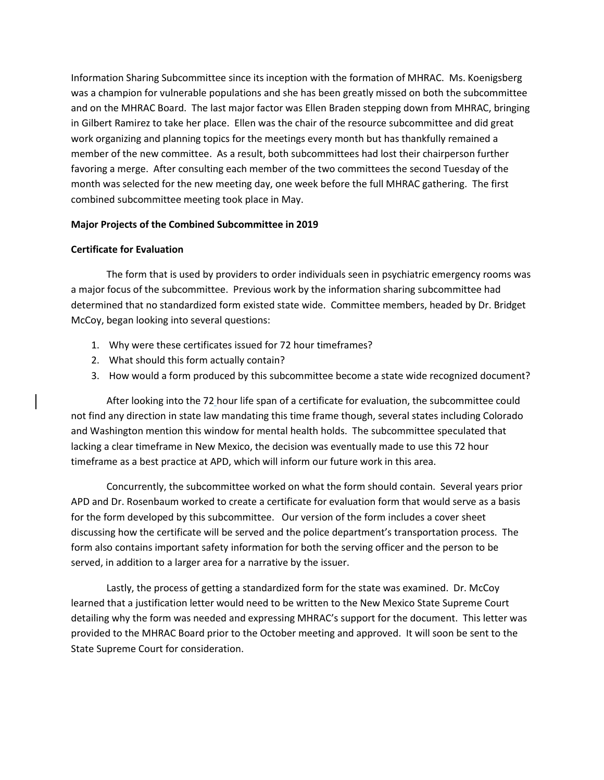Information Sharing Subcommittee since its inception with the formation of MHRAC. Ms. Koenigsberg was a champion for vulnerable populations and she has been greatly missed on both the subcommittee and on the MHRAC Board. The last major factor was Ellen Braden stepping down from MHRAC, bringing in Gilbert Ramirez to take her place. Ellen was the chair of the resource subcommittee and did great work organizing and planning topics for the meetings every month but has thankfully remained a member of the new committee. As a result, both subcommittees had lost their chairperson further favoring a merge. After consulting each member of the two committees the second Tuesday of the month was selected for the new meeting day, one week before the full MHRAC gathering. The first combined subcommittee meeting took place in May.

## **Major Projects of the Combined Subcommittee in 2019**

## **Certificate for Evaluation**

The form that is used by providers to order individuals seen in psychiatric emergency rooms was a major focus of the subcommittee. Previous work by the information sharing subcommittee had determined that no standardized form existed state wide. Committee members, headed by Dr. Bridget McCoy, began looking into several questions:

- 1. Why were these certificates issued for 72 hour timeframes?
- 2. What should this form actually contain?
- 3. How would a form produced by this subcommittee become a state wide recognized document?

After looking into the 72 hour life span of a certificate for evaluation, the subcommittee could not find any direction in state law mandating this time frame though, several states including Colorado and Washington mention this window for mental health holds. The subcommittee speculated that lacking a clear timeframe in New Mexico, the decision was eventually made to use this 72 hour timeframe as a best practice at APD, which will inform our future work in this area.

Concurrently, the subcommittee worked on what the form should contain. Several years prior APD and Dr. Rosenbaum worked to create a certificate for evaluation form that would serve as a basis for the form developed by this subcommittee. Our version of the form includes a cover sheet discussing how the certificate will be served and the police department's transportation process. The form also contains important safety information for both the serving officer and the person to be served, in addition to a larger area for a narrative by the issuer.

Lastly, the process of getting a standardized form for the state was examined. Dr. McCoy learned that a justification letter would need to be written to the New Mexico State Supreme Court detailing why the form was needed and expressing MHRAC's support for the document. This letter was provided to the MHRAC Board prior to the October meeting and approved. It will soon be sent to the State Supreme Court for consideration.